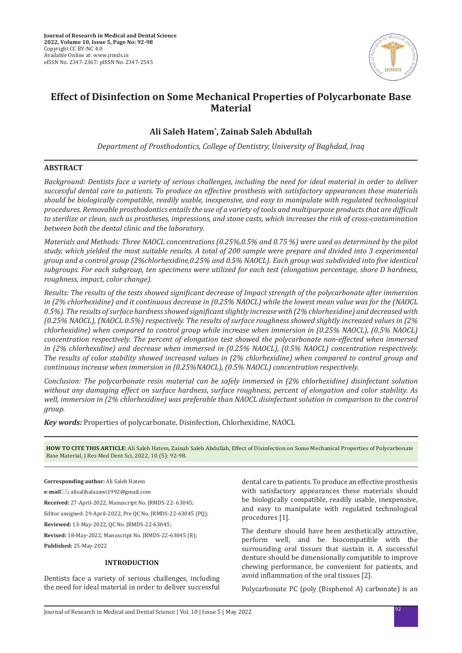

# **Effect of Disinfection on Some Mechanical Properties of Polycarbonate Base Material**

## **Ali Saleh Hatem\* , Zainab Saleh Abdullah**

*Department of Prosthodontics, College of Dentistry, University of Baghdad, Iraq*

## **ABSTRACT**

*Background: Dentists face a variety of serious challenges, including the need for ideal material in order to deliver successful dental care to patients. To produce an effective prosthesis with satisfactory appearances these materials should be biologically compatible, readily usable, inexpensive, and easy to manipulate with regulated technological procedures. Removable prosthodontics entails the use of a variety of tools and multipurpose products that are difficult to sterilize or clean, such as prostheses, impressions, and stone casts, which increases the risk of cross-contamination between both the dental clinic and the laboratory.*

*Materials and Methods: Three NAOCL concentrations (0.25%,0.5% and 0.75 %) were used as determined by the pilot study, which yielded the most suitable results. A total of 200 sample were prepare and divided into 3 experimental group and a control group (2%chlorhexidine,0.25% and 0.5% NAOCL). Each group was subdivided into five identical subgroups. For each subgroup, ten specimens were utilized for each test (elongation percentage, shore D hardness, roughness, impact, color change).* 

*Results: The results of the tests showed significant decrease of Impact strength of the polycarbonate after immersion in (2% chlorhexidine) and it continuous decrease in (0.25% NAOCL) while the lowest mean value was for the (NAOCL 0.5%). The results of surface hardness showed significant slightly increase with (2% chlorhexidine) and decreased with (0.25% NAOCL), (NAOCL 0.5%) respectively. The results of surface roughness showed slightly increased values in (2% chlorhexidine) when compared to control group while increase when immersion in (0.25% NAOCL), (0.5% NAOCL) concentration respectively. The percent of elongation test showed the polycarbonate non-effected when immersed in (2% chlorhexidine) and decrease when immersed in (0.25% NAOCL), (0.5% NAOCL) concentration respectively. The results of color stability showed increased values in (2% chlorhexidine) when compared to control group and continuous increase when immersion in (0.25%NAOCL), (0.5% NAOCL) concentration respectively.*

*Conclusion: The polycarbonate resin material can be safely immersed in (2% chlorhexidine) disinfectant solution without any damaging effect on surface hardness, surface roughness, percent of elongation and color stability. As well, immersion in (2% chlorhexidine) was preferable than NAOCL disinfectant solution in comparison to the control group.*

*Key words:* Properties of polycarbonate, Disinfection, Chlorhexidine, NAOCL

**HOW TO CITE THIS ARTICLE**: Ali Saleh Hatem, Zainab Saleh Abdullah, Effect of Disinfection on Some Mechanical Properties of Polycarbonate Base Material, J Res Med Dent Sci, 2022, 10 (5): 92-98.

#### **Corresponding author:** Ali Saleh Hatem

**e-mail:** alisalihalazawi1992@gmail.com

**Received:** 27-April-2022, Manuscript No. JRMDS-22- 63045;

Editor assigned: 29-April-2022, Pre QC No. JRMDS-22-63045 (PQ);

**Reviewed:** 13-May-2022, QC No. JRMDS-22-63045;

**Revised:** 18-May-2022, Manuscript No. JRMDS-22-63045 (R);

**Published:** 25-May-2022

#### **INTRODUCTION**

Dentists face a variety of serious challenges, including the need for ideal material in order to deliver successful dental care to patients. To produce an effective prosthesis with satisfactory appearances these materials should be biologically compatible, readily usable, inexpensive, and easy to manipulate with regulated technological procedures [1].

The denture should have been aesthetically attractive, perform well, and be biocompatible with the surrounding oral tissues that sustain it. A successful denture should be dimensionally compatible to improve chewing performance, be convenient for patients, and avoid inflammation of the oral tissues [2].

Polycarbonate PC (poly (Bisphenol A) carbonate) is an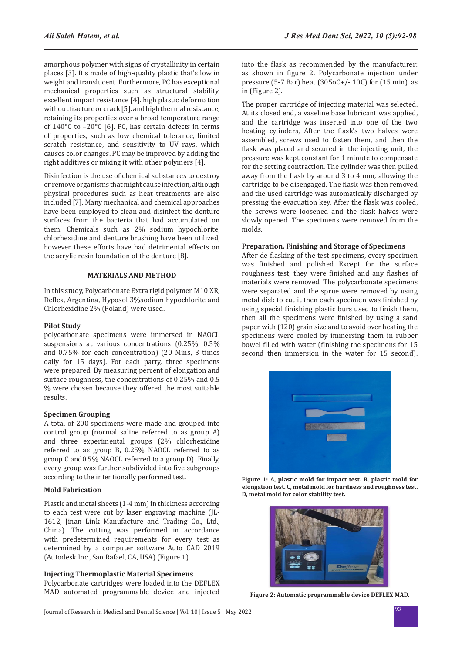amorphous polymer with signs of crystallinity in certain places [3]. It's made of high-quality plastic that's low in weight and translucent. Furthermore, PC has exceptional mechanical properties such as structural stability, excellent impact resistance [4]. high plastic deformation without fracture or crack [5]. and high thermal resistance, retaining its properties over a broad temperature range of 140°C to –20°C [6]. PC, has certain defects in terms of properties, such as low chemical tolerance, limited scratch resistance, and sensitivity to UV rays, which causes color changes. PC may be improved by adding the right additives or mixing it with other polymers [4].

Disinfection is the use of chemical substances to destroy or remove organisms that might cause infection, although physical procedures such as heat treatments are also included [7]. Many mechanical and chemical approaches have been employed to clean and disinfect the denture surfaces from the bacteria that had accumulated on them. Chemicals such as 2% sodium hypochlorite, chlorhexidine and denture brushing have been utilized, however these efforts have had detrimental effects on the acrylic resin foundation of the denture [8].

## **MATERIALS AND METHOD**

In this study, Polycarbonate Extra rigid polymer M10 XR, Deflex, Argentina, Hyposol 3%sodium hypochlorite and Chlorhexidine 2% (Poland) were used.

#### **Pilot Study**

polycarbonate specimens were immersed in NAOCL suspensions at various concentrations (0.25%, 0.5% and 0.75% for each concentration) (20 Mins, 3 times daily for 15 days). For each party, three specimens were prepared. By measuring percent of elongation and surface roughness, the concentrations of 0.25% and 0.5 % were chosen because they offered the most suitable results.

#### **Specimen Grouping**

A total of 200 specimens were made and grouped into control group (normal saline referred to as group A) and three experimental groups (2% chlorhexidine referred to as group B, 0.25% NAOCL referred to as group C and0.5% NAOCL referred to a group D). Finally, every group was further subdivided into five subgroups according to the intentionally performed test.

## **Mold Fabrication**

Plastic and metal sheets (1-4 mm) in thickness according to each test were cut by laser engraving machine (JL-1612, Jinan Link Manufacture and Trading Co., Ltd., China). The cutting was performed in accordance with predetermined requirements for every test as determined by a computer software Auto CAD 2019 (Autodesk Inc., San Rafael, CA, USA) (Figure 1).

#### **Injecting Thermoplastic Material Specimens**

Polycarbonate cartridges were loaded into the DEFLEX MAD automated programmable device and injected into the flask as recommended by the manufacturer: as shown in figure 2. Polycarbonate injection under pressure (5-7 Bar) heat (305oC+/- 10C) for (15 min). as in (Figure 2).

The proper cartridge of injecting material was selected. At its closed end, a vaseline base lubricant was applied, and the cartridge was inserted into one of the two heating cylinders, After the flask's two halves were assembled, screws used to fasten them, and then the flask was placed and secured in the injecting unit, the pressure was kept constant for 1 minute to compensate for the setting contraction. The cylinder was then pulled away from the flask by around 3 to 4 mm, allowing the cartridge to be disengaged. The flask was then removed and the used cartridge was automatically discharged by pressing the evacuation key, After the flask was cooled, the screws were loosened and the flask halves were slowly opened. The specimens were removed from the molds.

## **Preparation, Finishing and Storage of Specimens**

After de-flasking of the test specimens, every specimen was finished and polished Except for the surface roughness test, they were finished and any flashes of materials were removed. The polycarbonate specimens were separated and the sprue were removed by using metal disk to cut it then each specimen was finished by using special finishing plastic burs used to finish them, then all the specimens were finished by using a sand paper with (120) grain size and to avoid over heating the specimens were cooled by immersing them in rubber bowel filled with water (finishing the specimens for 15 second then immersion in the water for 15 second).



**Figure 1: A, plastic mold for impact test. B, plastic mold for elongation test. C, metal mold for hardness and roughness test. D, metal mold for color stability test.**



**Figure 2: Automatic programmable device DEFLEX MAD.**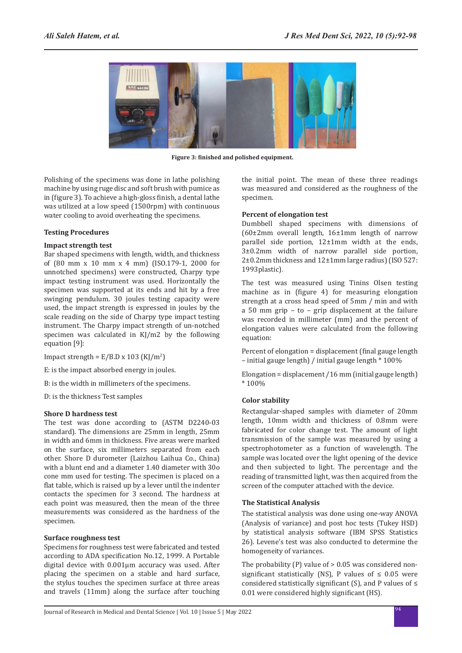

**Figure 3: finished and polished equipment.**

Polishing of the specimens was done in lathe polishing machine by using ruge disc and soft brush with pumice as in (figure 3). To achieve a high-gloss finish, a dental lathe was utilized at a low speed (1500rpm) with continuous water cooling to avoid overheating the specimens.

#### **Testing Procedures**

#### **Impact strength test**

Bar shaped specimens with length, width, and thickness of (80 mm x 10 mm x 4 mm) (ISO.179-1, 2000 for unnotched specimens) were constructed, Charpy type impact testing instrument was used. Horizontally the specimen was supported at its ends and hit by a free swinging pendulum. 30 joules testing capacity were used, the impact strength is expressed in joules by the scale reading on the side of Charpy type impact testing instrument. The Charpy impact strength of un-notched specimen was calculated in KJ/m2 by the following equation [9]:

Impact strength =  $E/B.D x 103 (KJ/m<sup>2</sup>)$ 

- E: is the impact absorbed energy in joules.
- B: is the width in millimeters of the specimens.
- D: is the thickness Test samples

## **Shore D hardness test**

The test was done according to (ASTM D2240-03 standard). The dimensions are 25mm in length, 25mm in width and 6mm in thickness. Five areas were marked on the surface, six millimeters separated from each other. Shore D durometer (Laizhou Laihua Co., China) with a blunt end and a diameter 1.40 diameter with 30o cone mm used for testing. The specimen is placed on a flat table, which is raised up by a lever until the indenter contacts the specimen for 3 second. The hardness at each point was measured, then the mean of the three measurements was considered as the hardness of the specimen.

## **Surface roughness test**

Specimens for roughness test were fabricated and tested according to ADA specification No.12, 1999. A Portable digital device with 0.001μm accuracy was used. After placing the specimen on a stable and hard surface, the stylus touches the specimen surface at three areas and travels (11mm) along the surface after touching the initial point. The mean of these three readings was measured and considered as the roughness of the specimen.

## **Percent of elongation test**

Dumbbell shaped specimens with dimensions of (60±2mm overall length, 16±1mm length of narrow parallel side portion, 12±1mm width at the ends, 3±0.2mm width of narrow parallel side portion, 2±0.2mm thickness and 12±1mm large radius) (ISO 527: 1993plastic).

The test was measured using Tinins Olsen testing machine as in (figure 4) for measuring elongation strength at a cross head speed of 5mm / min and with a 50 mm grip – to – grip displacement at the failure was recorded in millimeter (mm) and the percent of elongation values were calculated from the following equation:

Percent of elongation = displacement (final gauge length – initial gauge length) / initial gauge length \* 100%

Elongation = displacement /16 mm (initial gauge length) \* 100%

## **Color stability**

Rectangular-shaped samples with diameter of 20mm length, 10mm width and thickness of 0.8mm were fabricated for color change test. The amount of light transmission of the sample was measured by using a spectrophotometer as a function of wavelength. The sample was located over the light opening of the device and then subjected to light. The percentage and the reading of transmitted light, was then acquired from the screen of the computer attached with the device.

## **The Statistical Analysis**

The statistical analysis was done using one-way ANOVA (Analysis of variance) and post hoc tests (Tukey HSD) by statistical analysis software (IBM SPSS Statistics 26). Levene's test was also conducted to determine the homogeneity of variances.

The probability (P) value of > 0.05 was considered nonsignificant statistically (NS), P values of  $\leq$  0.05 were considered statistically significant (S), and P values of ≤ 0.01 were considered highly significant (HS).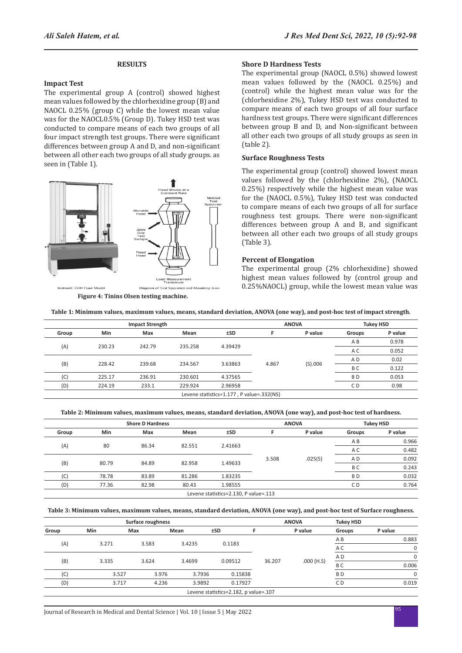#### **RESULTS**

#### **Impact Test**

The experimental group A (control) showed highest mean values followed by the chlorhexidine group (B) and NAOCL 0.25% (group C) while the lowest mean value was for the NAOCL0.5% (Group D). Tukey HSD test was conducted to compare means of each two groups of all four impact strength test groups. There were significant differences between group A and D, and non-significant between all other each two groups of all study groups. as seen in (Table 1).



**Figure 4: Tinins Olsen testing machine.**

#### **Shore D Hardness Tests**

The experimental group (NAOCL 0.5%) showed lowest mean values followed by the (NAOCL 0.25%) and (control) while the highest mean value was for the (chlorhexidine 2%), Tukey HSD test was conducted to compare means of each two groups of all four surface hardness test groups. There were significant differences between group B and D, and Non-significant between all other each two groups of all study groups as seen in (table 2).

#### **Surface Roughness Tests**

The experimental group (control) showed lowest mean values followed by the (chlorhexidine 2%), (NAOCL 0.25%) respectively while the highest mean value was for the (NAOCL 0.5%), Tukey HSD test was conducted to compare means of each two groups of all for surface roughness test groups. There were non-significant differences between group A and B, and significant between all other each two groups of all study groups (Table 3).

#### **Percent of Elongation**

The experimental group (2% chlorhexidine) showed highest mean values followed by (control group and 0.25%NAOCL) group, while the lowest mean value was

| Table 1: Minimum values, maximum values, means, standard deviation, ANOVA (one way), and post-hoc test of impact strength. |  |  |  |
|----------------------------------------------------------------------------------------------------------------------------|--|--|--|
|                                                                                                                            |  |  |  |

| <b>Impact Strength</b>                    |                                    |         |         |          | <b>ANOVA</b>   |         |                | <b>Tukey HSD</b> |
|-------------------------------------------|------------------------------------|---------|---------|----------|----------------|---------|----------------|------------------|
| Group                                     | <b>Min</b>                         | Max     | Mean    | ±SD      |                | P value | <b>Groups</b>  | P value          |
| (A)<br>235.258<br>230.23<br>242.79        |                                    |         |         |          | A B            | 0.978   |                |                  |
|                                           |                                    |         |         | 4.39429  |                |         | A C            | 0.052            |
|                                           | (B)<br>228.42<br>239.68<br>234.567 |         |         |          |                |         | A <sub>D</sub> | 0.02             |
|                                           |                                    | 3.63863 | 4.867   | (S) .006 | B <sub>C</sub> | 0.122   |                |                  |
| (C)                                       | 225.17                             | 236.91  | 230.601 | 4.37565  |                |         | B <sub>D</sub> | 0.053            |
| (D)                                       | 224.19                             | 233.1   | 229.924 | 2.96958  |                |         | C <sub>D</sub> | 0.98             |
| Levene statistics=1.177, P value=.332(NS) |                                    |         |         |          |                |         |                |                  |

**Table 2: Minimum values, maximum values, means, standard deviation, ANOVA (one way), and post-hoc test of hardness.**

| <b>Shore D Hardness</b> |       |       |        |                                       | <b>ANOVA</b> |         | <b>Tukey HSD</b> |         |     |       |       |
|-------------------------|-------|-------|--------|---------------------------------------|--------------|---------|------------------|---------|-----|-------|-------|
| Group                   | Min   | Max   | Mean   | ±SD                                   |              | P value | Groups           | P value |     |       |       |
|                         |       | 86.34 | 82.551 |                                       | 2.41663      |         |                  |         |     | A B   | 0.966 |
| (A)                     | 80    |       |        |                                       |              |         |                  |         | A C | 0.482 |       |
|                         |       |       |        | 3.508                                 | .025(S)      | A D     | 0.092            |         |     |       |       |
| (B)                     | 80.79 | 84.89 | 82.958 | 1.49633                               |              |         | B <sub>C</sub>   | 0.243   |     |       |       |
| (C)                     | 78.78 | 83.89 | 81.286 | 1.83235                               |              |         | B <sub>D</sub>   | 0.032   |     |       |       |
| (D)                     | 77.36 | 82.98 | 80.43  | 1.98555                               |              |         | C <sub>D</sub>   | 0.764   |     |       |       |
|                         |       |       |        | Levene statistics=2.130, P value=.113 |              |         |                  |         |     |       |       |

**Table 3: Minimum values, maximum values, means, standard deviation, ANOVA (one way), and post-hoc test of Surface roughness.**

|       |       | Surface roughness |        |                                       | <b>ANOVA</b> | <b>Tukey HSD</b> |                |             |
|-------|-------|-------------------|--------|---------------------------------------|--------------|------------------|----------------|-------------|
| Group | Min   | Max               | Mean   | ±SD                                   |              | P value          | Groups         | P value     |
|       | 3.271 | 3.583             | 3.4235 | 0.1183                                |              |                  | ΑB             | 0.883       |
| (A)   |       |                   |        |                                       |              |                  | A C            | $\mathbf 0$ |
|       |       |                   |        |                                       |              |                  | A D            | $\Omega$    |
| (B)   | 3.335 | 3.624             | 3.4699 | 0.09512                               | 36.207       | .000(H.S)        | B <sub>C</sub> | 0.006       |
| (C)   | 3.527 | 3.976             | 3.7936 | 0.15838                               |              |                  | B <sub>D</sub> | $\mathbf 0$ |
| (D)   | 3.717 | 4.236             | 3.9892 | 0.17927                               |              |                  | C D            | 0.019       |
|       |       |                   |        | Levene statistics=2.182, p value=.107 |              |                  |                |             |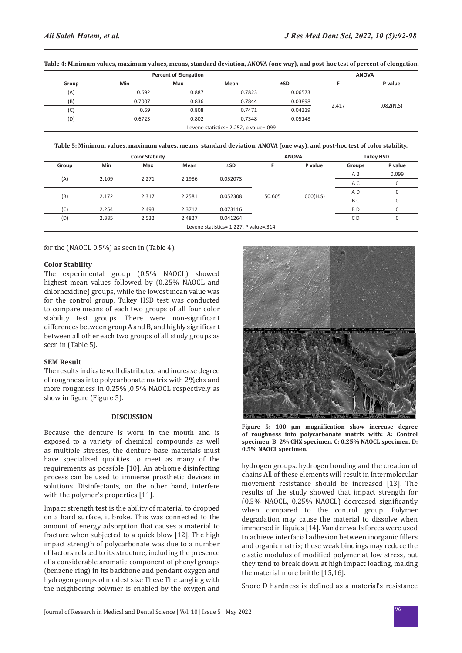|       | <b>Percent of Elongation</b> |       |        | <b>ANOVA</b> |       |           |
|-------|------------------------------|-------|--------|--------------|-------|-----------|
| Group | Max<br>Min                   |       | Mean   | ±SD          |       | P value   |
| (A)   | 0.692                        | 0.887 | 0.7823 | 0.06573      |       |           |
| (B)   | 0.7007                       | 0.836 | 0.7844 | 0.03898      |       |           |
| (C)   | 0.69                         | 0.808 | 0.7471 | 0.04319      | 2.417 | .082(N.S) |
| (D)   | 0.6723                       | 0.802 | 0.7348 | 0.05148      |       |           |

**Table 4: Minimum values, maximum values, means, standard deviation, ANOVA (one way), and post-hoc test of percent of elongation.**

**Table 5: Minimum values, maximum values, means, standard deviation, ANOVA (one way), and post-hoc test of color stability.**

Levene statistics= 2.252, p value=.099

| <b>Color Stability</b>                 |                                      |       |        |          | <b>ANOVA</b> |           | <b>Tukey HSD</b> |          |
|----------------------------------------|--------------------------------------|-------|--------|----------|--------------|-----------|------------------|----------|
| Group                                  | Min                                  | Max   | Mean   | ±SD      |              | P value   | Groups           | P value  |
|                                        | 2.109<br>2.1986<br>0.052073<br>2.271 |       |        | A B      | 0.099        |           |                  |          |
| (A)                                    |                                      |       |        |          | 50.605       |           | A C              | $\Omega$ |
| (B)                                    |                                      | 2.317 | 2.2581 | 0.052308 |              | .000(H.S) | A D              |          |
|                                        | 2.172                                |       |        |          |              |           | B C              | 0        |
| (C)                                    | 2.254                                | 2.493 | 2.3712 | 0.073116 |              |           | B <sub>D</sub>   |          |
| (D)                                    | 2.385                                | 2.532 | 2.4827 | 0.041264 |              |           | CD               | 0        |
| Levene statistics= 1.227, P value=.314 |                                      |       |        |          |              |           |                  |          |

for the (NAOCL 0.5%) as seen in (Table 4).

#### **Color Stability**

The experimental group (0.5% NAOCL) showed highest mean values followed by (0.25% NAOCL and chlorhexidine) groups, while the lowest mean value was for the control group, Tukey HSD test was conducted to compare means of each two groups of all four color stability test groups. There were non-significant differences between group A and B, and highly significant between all other each two groups of all study groups as seen in (Table 5).

## **SEM Result**

The results indicate well distributed and increase degree of roughness into polycarbonate matrix with 2%chx and more roughness in 0.25% ,0.5% NAOCL respectively as show in figure (Figure 5).

#### **DISCUSSION**

Because the denture is worn in the mouth and is exposed to a variety of chemical compounds as well as multiple stresses, the denture base materials must have specialized qualities to meet as many of the requirements as possible [10]. An at-home disinfecting process can be used to immerse prosthetic devices in solutions. Disinfectants, on the other hand, interfere with the polymer's properties [11].

Impact strength test is the ability of material to dropped on a hard surface, it broke. This was connected to the amount of energy adsorption that causes a material to fracture when subjected to a quick blow [12]. The high impact strength of polycarbonate was due to a number of factors related to its structure, including the presence of a considerable aromatic component of phenyl groups (benzene ring) in its backbone and pendant oxygen and hydrogen groups of modest size These The tangling with the neighboring polymer is enabled by the oxygen and



**Figure 5: 100 µm magnification show increase degree of roughness into polycarbonate matrix with: A: Control specimen, B: 2% CHX specimen, C: 0.25% NAOCL specimen, D: 0.5% NAOCL specimen.**

hydrogen groups. hydrogen bonding and the creation of chains All of these elements will result in Intermolecular movement resistance should be increased [13]. The results of the study showed that impact strength for (0.5% NAOCL, 0.25% NAOCL) decreased significantly when compared to the control group. Polymer degradation may cause the material to dissolve when immersed in liquids [14]. Van der walls forces were used to achieve interfacial adhesion between inorganic fillers and organic matrix; these weak bindings may reduce the elastic modulus of modified polymer at low stress, but they tend to break down at high impact loading, making the material more brittle [15,16].

Shore D hardness is defined as a material's resistance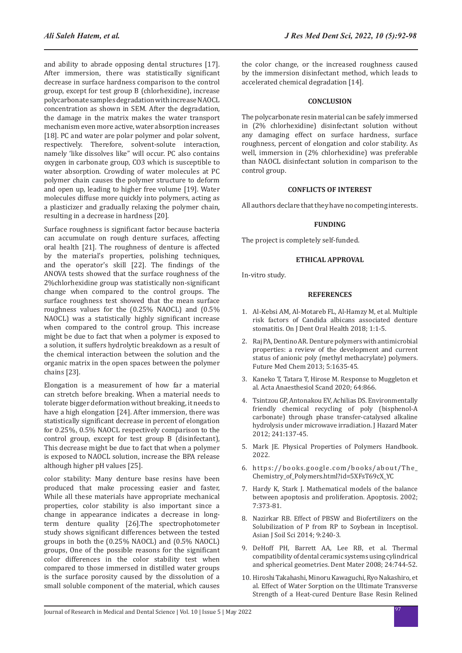and ability to abrade opposing dental structures [17]. After immersion, there was statistically significant decrease in surface hardness comparison to the control group, except for test group B (chlorhexidine), increase polycarbonate samples degradation with increase NAOCL concentration as shown in SEM. After the degradation, the damage in the matrix makes the water transport mechanism even more active, water absorption increases [18]. PC and water are polar polymer and polar solvent, respectively. Therefore, solvent-solute interaction, namely 'like dissolves like" will occur. PC also contains oxygen in carbonate group, CO3 which is susceptible to water absorption. Crowding of water molecules at PC polymer chain causes the polymer structure to deform and open up, leading to higher free volume [19]. Water molecules diffuse more quickly into polymers, acting as a plasticizer and gradually relaxing the polymer chain, resulting in a decrease in hardness [20].

Surface roughness is significant factor because bacteria can accumulate on rough denture surfaces, affecting oral health [21]. The roughness of denture is affected by the material's properties, polishing techniques, and the operator's skill [22]. The findings of the ANOVA tests showed that the surface roughness of the 2%chlorhexidine group was statistically non-significant change when compared to the control groups. The surface roughness test showed that the mean surface roughness values for the (0.25% NAOCL) and (0.5% NAOCL) was a statistically highly significant increase when compared to the control group. This increase might be due to fact that when a polymer is exposed to a solution, it suffers hydrolytic breakdown as a result of the chemical interaction between the solution and the organic matrix in the open spaces between the polymer chains [23].

Elongation is a measurement of how far a material can stretch before breaking. When a material needs to tolerate bigger deformation without breaking, it needs to have a high elongation [24]. After immersion, there was statistically significant decrease in percent of elongation for 0.25%, 0.5% NAOCL respectively comparison to the control group, except for test group B (disinfectant), This decrease might be due to fact that when a polymer is exposed to NAOCL solution, increase the BPA release although higher pH values [25].

color stability: Many denture base resins have been produced that make processing easier and faster, While all these materials have appropriate mechanical properties, color stability is also important since a change in appearance indicates a decrease in longterm denture quality [26].The spectrophotometer study shows significant differences between the tested groups in both the (0.25% NAOCL) and (0.5% NAOCL) groups, One of the possible reasons for the significant color differences in the color stability test when compared to those immersed in distilled water groups is the surface porosity caused by the dissolution of a small soluble component of the material, which causes the color change, or the increased roughness caused by the immersion disinfectant method, which leads to accelerated chemical degradation [14].

#### **CONCLUSION**

The polycarbonate resin material can be safely immersed in (2% chlorhexidine) disinfectant solution without any damaging effect on surface hardness, surface roughness, percent of elongation and color stability. As well, immersion in (2% chlorhexidine) was preferable than NAOCL disinfectant solution in comparison to the control group.

#### **CONFLICTS OF INTEREST**

All authors declare that they have no competing interests.

#### **FUNDING**

The project is completely self-funded.

#### **ETHICAL APPROVAL**

In-vitro study.

#### **REFERENCES**

- 1. Al-Kebsi AM, Al-Motareb FL, Al-Hamzy M, et al. [Multiple](https://irispublishers.com/ojdoh/fulltext/multipl-risk-factors-of-candida-albicans-associated-denture-stomatitis.ID.000511.php)  [risk factors of Candida albicans associated denture](https://irispublishers.com/ojdoh/fulltext/multipl-risk-factors-of-candida-albicans-associated-denture-stomatitis.ID.000511.php)  [stomatitis.](https://irispublishers.com/ojdoh/fulltext/multipl-risk-factors-of-candida-albicans-associated-denture-stomatitis.ID.000511.php) On J Dent Oral Health 2018; 1:1-5.
- 2. Raj PA, Dentino AR. [Denture polymers with antimicrobial](https://www.future-science.com/doi/10.4155/fmc.13.145)  [properties: a review of the development and current](https://www.future-science.com/doi/10.4155/fmc.13.145)  [status of anionic poly \(methyl methacrylate\) polymers.](https://www.future-science.com/doi/10.4155/fmc.13.145) Future Med Chem 2013; 5:1635-45.
- 3. Kaneko T, Tatara T, Hirose M. [Response to Muggleton et](https://onlinelibrary.wiley.com/doi/abs/10.1111/aas.13590)  [al.](https://onlinelibrary.wiley.com/doi/abs/10.1111/aas.13590) Acta Anaesthesiol Scand 2020; 64:866.
- 4. Tsintzou GP, Antonakou EV, Achilias DS. [Environmentally](https://www.sciencedirect.com/science/article/abs/pii/S030438941200951X)  [friendly chemical recycling of poly \(bisphenol-A](https://www.sciencedirect.com/science/article/abs/pii/S030438941200951X)  [carbonate\) through phase transfer-catalysed alkaline](https://www.sciencedirect.com/science/article/abs/pii/S030438941200951X)  [hydrolysis under microwave irradiation.](https://www.sciencedirect.com/science/article/abs/pii/S030438941200951X) J Hazard Mater 2012; 241:137-45.
- 5. Mark JE. Physical Properties of Polymers Handbook. 2022.
- 6. [https://books.google.com/books/about/The\\_](https://books.google.com/books/about/The_Chemistry_of_Polymers.html?id=5XFsT69cX_YC) [Chemistry\\_of\\_Polymers.html?id=5XFsT69cX\\_YC](https://books.google.com/books/about/The_Chemistry_of_Polymers.html?id=5XFsT69cX_YC)
- 7. Hardy K, Stark J. [Mathematical models of the balance](https://link.springer.com/article/10.1023/A:1016183731694)  [between apoptosis and proliferation.](https://link.springer.com/article/10.1023/A:1016183731694) Apoptosis. 2002; 7:373-81.
- 8. Nazirkar RB. [Effect of PBSW and Biofertilizers on the](http://researchjournal.co.in/online/AJSS/AJSS 9(2)/9_240-243_A.pdf)  [Solubilization of P from RP to Soybean in Inceptisol.](http://researchjournal.co.in/online/AJSS/AJSS 9(2)/9_240-243_A.pdf) Asian J Soil Sci 2014; 9:240-3.
- 9. DeHoff PH, Barrett AA, Lee RB, et al. [Thermal](https://www.sciencedirect.com/science/article/abs/pii/S0109564107002096)  [compatibility of dental ceramic systems using cylindrical](https://www.sciencedirect.com/science/article/abs/pii/S0109564107002096)  [and spherical geometries.](https://www.sciencedirect.com/science/article/abs/pii/S0109564107002096) Dent Mater 2008; 24:744-52.
- 10. Hiroshi Takahashi, Minoru Kawaguchi, Ryo Nakashiro, et al. [Effect of Water Sorption on the Ultimate Transverse](https://www.jstage.jst.go.jp/article/jjps1957/42/4/42_4_668/_article/-char/ja/)  [Strength of a Heat-cured Denture Base Resin Relined](https://www.jstage.jst.go.jp/article/jjps1957/42/4/42_4_668/_article/-char/ja/)